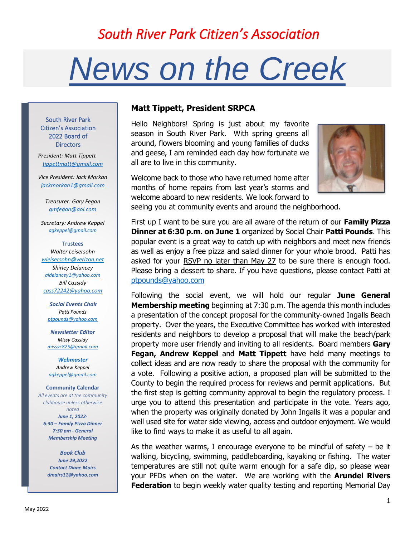# *South River Park Citizen's Association*

# *News on the Creek*

South River Park Citizen's Association 2022 Board of **Directors** 

*President: Matt Tippett tippettmatt@gmail.com*

*Vice President: Jack Morkan jackmorkan1@gmail.com*

*Treasurer: Gary Fegan gmfegan@aol.com*

*Secretary: Andrew Keppel agkeppel@gmail.com*

#### **Trustees**

*Walter Leisersohn wleisersohn@verizon.net Shirley Delancey aldelancey1@yahoo.com Bill Cassidy cass72242@yahoo.com*

*Social Events Chair Patti Pounds ptpounds@yahoo.com*

*Newsletter Editor Missy Cassidy missyc825@gmail.com*

*Webmaster Andrew Keppel agkeppel@gmail.com*

#### **Community Calendar**

*All events are at the community clubhouse unless otherwise noted June 1, 2022- 6:30 – Family Pizza Dinner 7:30 pm - General Membership Meeting*

> *Book Club June 29,2022 Contact Diane Mairs dmairs11@yahoo.com*

## **Matt Tippett, President SRPCA**

Hello Neighbors! Spring is just about my favorite season in South River Park. With spring greens all around, flowers blooming and young families of ducks and geese, I am reminded each day how fortunate we all are to live in this community.



Welcome back to those who have returned home after months of home repairs from last year's storms and welcome aboard to new residents. We look forward to seeing you at community events and around the neighborhood.

First up I want to be sure you are all aware of the return of our **Family Pizza Dinner at 6:30 p.m. on June 1** organized by Social Chair **Patti Pounds**. This popular event is a great way to catch up with neighbors and meet new friends as well as enjoy a free pizza and salad dinner for your whole brood. Patti has asked for your RSVP no later than May 27 to be sure there is enough food. Please bring a dessert to share. If you have questions, please contact Patti at ptpounds@yahoo.com

Following the social event, we will hold our regular **June General Membership meeting** beginning at 7:30 p.m. The agenda this month includes a presentation of the concept proposal for the community-owned Ingalls Beach property. Over the years, the Executive Committee has worked with interested residents and neighbors to develop a proposal that will make the beach/park property more user friendly and inviting to all residents. Board members **Gary Fegan, Andrew Keppel** and **Matt Tippett** have held many meetings to collect ideas and are now ready to share the proposal with the community for a vote. Following a positive action, a proposed plan will be submitted to the County to begin the required process for reviews and permit applications. But the first step is getting community approval to begin the regulatory process. I urge you to attend this presentation and participate in the vote. Years ago, when the property was originally donated by John Ingalls it was a popular and well used site for water side viewing, access and outdoor enjoyment. We would like to find ways to make it as useful to all again.

As the weather warms, I encourage everyone to be mindful of safety – be it walking, bicycling, swimming, paddleboarding, kayaking or fishing. The water temperatures are still not quite warm enough for a safe dip, so please wear your PFDs when on the water. We are working with the **Arundel Rivers Federation** to begin weekly water quality testing and reporting Memorial Day